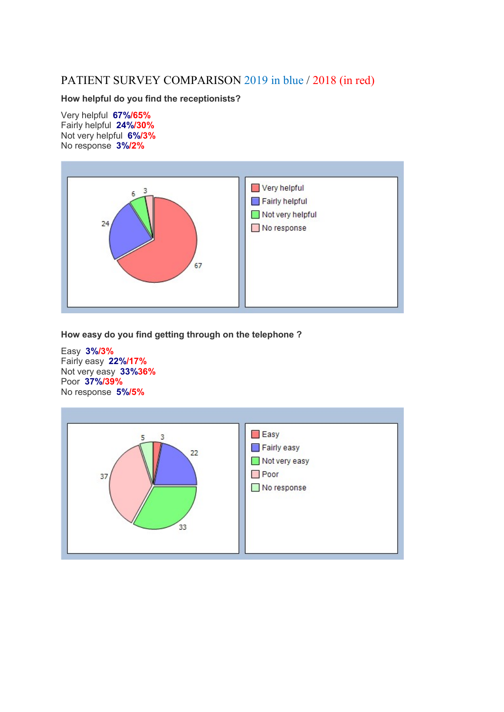## PATIENT SURVEY COMPARISON 2019 in blue / 2018 (in red)

How helpful do you find the receptionists?

Very helpful 67%/65% Fairly helpful 24%/30% Not very helpful 6%/3% No response 3%/2%



How easy do you find getting through on the telephone ?

Easy 3%/3% Fairly easy 22%/17% Not very easy 33%36% Poor 37%/39% No response 5%/5%

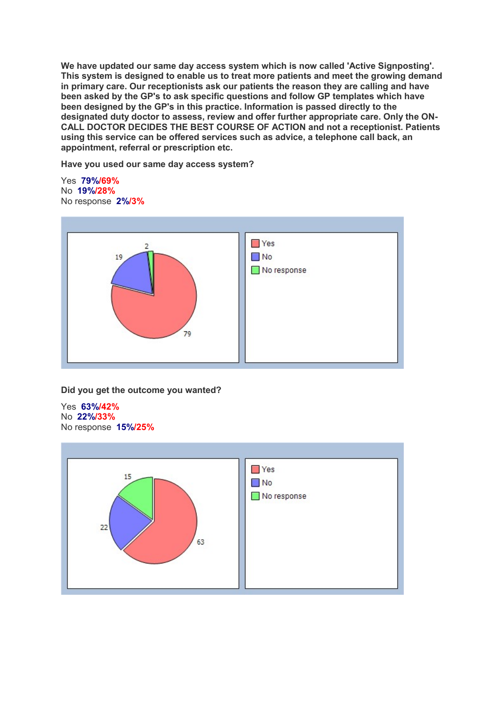We have updated our same day access system which is now called 'Active Signposting'. This system is designed to enable us to treat more patients and meet the growing demand in primary care. Our receptionists ask our patients the reason they are calling and have been asked by the GP's to ask specific questions and follow GP templates which have been designed by the GP's in this practice. Information is passed directly to the designated duty doctor to assess, review and offer further appropriate care. Only the ON-CALL DOCTOR DECIDES THE BEST COURSE OF ACTION and not a receptionist. Patients using this service can be offered services such as advice, a telephone call back, an appointment, referral or prescription etc.

Have you used our same day access system?

Yes 79%/69% No 19%/28% No response 2%/3%



Did you get the outcome you wanted?

Yes 63%/42% No 22%/33% No response 15%/25%

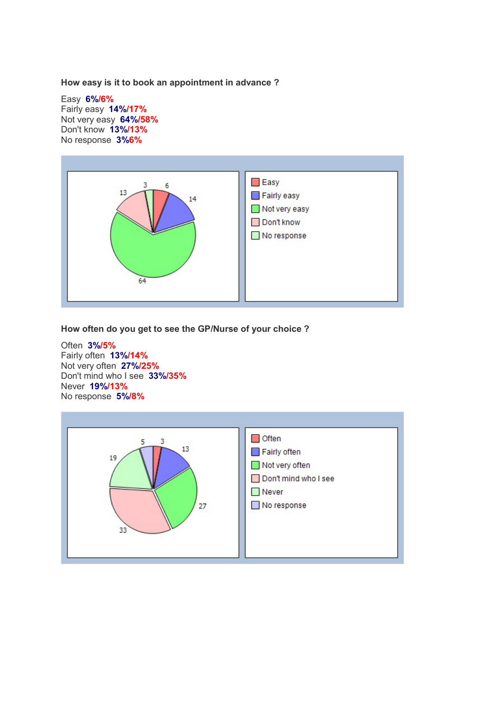How easy is it to book an appointment in advance ?

Easy 6%/6% Fairly easy 14%/17% Not very easy 64%/58% Don't know 13%/13% No response 3%6%



How often do you get to see the GP/Nurse of your choice ?

Often 3%/5% Fairly often 13%/14% Not very often 27%/25% Don't mind who I see 33%/35% Never 19%/13% No response 5%/8%

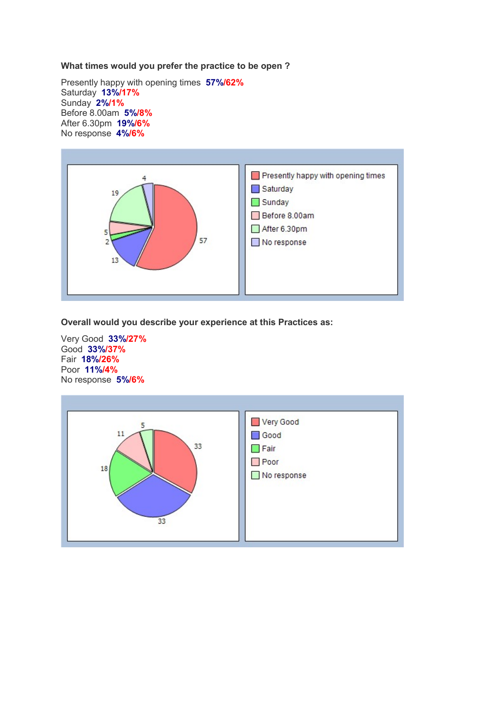## What times would you prefer the practice to be open ?

Presently happy with opening times 57%/62% Saturday 13%/17% Sunday 2%/1% Before 8.00am 5%/8% After 6.30pm 19%/6% No response 4%/6%



Overall would you describe your experience at this Practices as:

Very Good 33%/27% Good 33%/37% Fair 18%/26% Poor 11%/4% No response 5%/6%

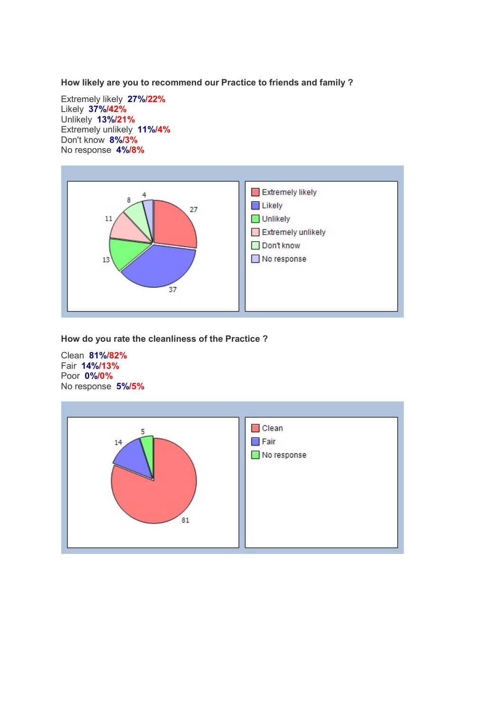How likely are you to recommend our Practice to friends and family ?

Extremely likely 27%/22% Likely 37%/42% Unlikely 13%/21% Extremely unlikely 11%/4% Don't know 8%/3% No response 4%/8%



How do you rate the cleanliness of the Practice ?

Clean 81%/82% Fair 14%/13% Poor 0%/0% No response 5%/5%